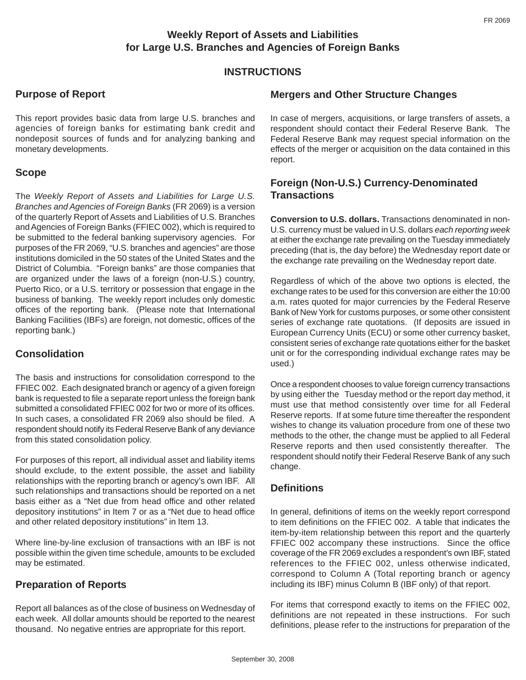### **Weekly Report of Assets and Liabilities for Large U.S. Branches and Agencies of Foreign Banks**

#### **INSTRUCTIONS**

# **Purpose of Report**

This report provides basic data from large U.S. branches and agencies of foreign banks for estimating bank credit and nondeposit sources of funds and for analyzing banking and monetary developments.

#### **Scope**

The *Weekly Report of Assets and Liabilities for Large U.S. Branches and Agencies of Foreign Banks* (FR 2069) is a version of the quarterly Report of Assets and Liabilities of U.S. Branches and Agencies of Foreign Banks (FFIEC 002), which is required to be submitted to the federal banking supervisory agencies. For purposes of the FR 2069, "U.S. branches and agencies" are those institutions domiciled in the 50 states of the United States and the District of Columbia. "Foreign banks" are those companies that are organized under the laws of a foreign (non-U.S.) country, Puerto Rico, or a U.S. territory or possession that engage in the business of banking. The weekly report includes only domestic offices of the reporting bank. (Please note that International Banking Facilities (IBFs) are foreign, not domestic, offices of the reporting bank.)

# **Consolidation**

The basis and instructions for consolidation correspond to the FFIEC 002. Each designated branch or agency of a given foreign bank is requested to file a separate report unless the foreign bank submitted a consolidated FFIEC 002 for two or more of its offices. In such cases, a consolidated FR 2069 also should be filed. A respondent should notify its Federal Reserve Bank of any deviance from this stated consolidation policy.

For purposes of this report, all individual asset and liability items should exclude, to the extent possible, the asset and liability relationships with the reporting branch or agency's own IBF. All such relationships and transactions should be reported on a net basis either as a "Net due from head office and other related depository institutions" in Item 7 or as a "Net due to head office and other related depository institutions" in Item 13.

Where line-by-line exclusion of transactions with an IBF is not possible within the given time schedule, amounts to be excluded may be estimated.

# **Preparation of Reports**

Report all balances as of the close of business on Wednesday of each week. All dollar amounts should be reported to the nearest thousand. No negative entries are appropriate for this report.

#### **Mergers and Other Structure Changes**

In case of mergers, acquisitions, or large transfers of assets, a respondent should contact their Federal Reserve Bank. The Federal Reserve Bank may request special information on the effects of the merger or acquisition on the data contained in this report.

### **Foreign (Non-U.S.) Currency-Denominated Transactions**

**Conversion to U.S. dollars.** Transactions denominated in non-U.S. currency must be valued in U.S. dollars *each reporting week* at either the exchange rate prevailing on the Tuesday immediately preceding (that is, the day before) the Wednesday report date or the exchange rate prevailing on the Wednesday report date.

Regardless of which of the above two options is elected, the exchange rates to be used for this conversion are either the 10:00 a.m. rates quoted for major currencies by the Federal Reserve Bank of New York for customs purposes, or some other consistent series of exchange rate quotations. (If deposits are issued in European Currency Units (ECU) or some other currency basket, consistent series of exchange rate quotations either for the basket unit or for the corresponding individual exchange rates may be used.)

Once a respondent chooses to value foreign currency transactions by using either the Tuesday method or the report day method, it must use that method consistently over time for all Federal Reserve reports. If at some future time thereafter the respondent wishes to change its valuation procedure from one of these two methods to the other, the change must be applied to all Federal Reserve reports and then used consistently thereafter. The respondent should notify their Federal Reserve Bank of any such change.

# **Definitions**

In general, definitions of items on the weekly report correspond to item definitions on the FFIEC 002. A table that indicates the item-by-item relationship between this report and the quarterly FFIEC 002 accompany these instructions. Since the office coverage of the FR 2069 excludes a respondent's own IBF, stated references to the FFIEC 002, unless otherwise indicated, correspond to Column A (Total reporting branch or agency including its IBF) minus Column B (IBF only) of that report.

For items that correspond exactly to items on the FFIEC 002, definitions are not repeated in these instructions. For such definitions, please refer to the instructions for preparation of the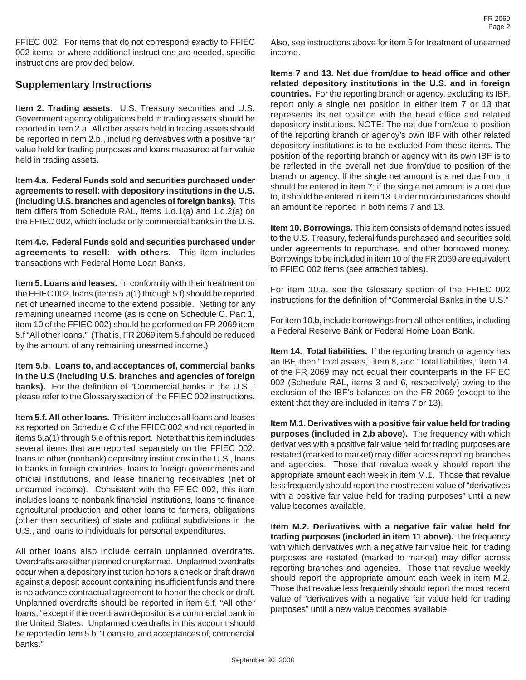FFIEC 002. For items that do not correspond exactly to FFIEC 002 items, or where additional instructions are needed, specific instructions are provided below.

#### **Supplementary Instructions**

**Item 2. Trading assets.** U.S. Treasury securities and U.S. Government agency obligations held in trading assets should be reported in item 2.a. All other assets held in trading assets should be reported in item 2.b., including derivatives with a positive fair value held for trading purposes and loans measured at fair value held in trading assets.

**Item 4.a. Federal Funds sold and securities purchased under agreements to resell: with depository institutions in the U.S. (including U.S. branches and agencies of foreign banks).** This item differs from Schedule RAL, items 1.d.1(a) and 1.d.2(a) on the FFIEC 002, which include only commercial banks in the U.S.

**Item 4.c. Federal Funds sold and securities purchased under agreements to resell: with others.** This item includes transactions with Federal Home Loan Banks.

**Item 5. Loans and leases.** In conformity with their treatment on the FFIEC 002, loans (items 5.a(1) through 5.f) should be reported net of unearned income to the extend possible. Netting for any remaining unearned income (as is done on Schedule C, Part 1, item 10 of the FFIEC 002) should be performed on FR 2069 item 5.f "All other loans." (That is, FR 2069 item 5.f should be reduced by the amount of any remaining unearned income.)

**Item 5.b. Loans to, and acceptances of, commercial banks in the U.S (including U.S. branches and agencies of foreign banks).** For the definition of "Commercial banks in the U.S.," please refer to the Glossary section of the FFIEC 002 instructions.

**Item 5.f. All other loans.** This item includes all loans and leases as reported on Schedule C of the FFIEC 002 and not reported in items 5.a(1) through 5.e of this report. Note that this item includes several items that are reported separately on the FFIEC 002: loans to other (nonbank) depository institutions in the U.S., loans to banks in foreign countries, loans to foreign governments and official institutions, and lease financing receivables (net of unearned income). Consistent with the FFIEC 002, this item includes loans to nonbank financial institutions, loans to finance agricultural production and other loans to farmers, obligations (other than securities) of state and political subdivisions in the U.S., and loans to individuals for personal expenditures.

All other loans also include certain unplanned overdrafts. Overdrafts are either planned or unplanned. Unplanned overdrafts occur when a depository institution honors a check or draft drawn against a deposit account containing insufficient funds and there is no advance contractual agreement to honor the check or draft. Unplanned overdrafts should be reported in item 5.f, "All other loans," except if the overdrawn depositor is a commercial bank in the United States. Unplanned overdrafts in this account should be reported in item 5.b, "Loans to, and acceptances of, commercial banks."

Also, see instructions above for item 5 for treatment of unearned income.

**Items 7 and 13. Net due from/due to head office and other related depository institutions in the U.S. and in foreign countries.** For the reporting branch or agency, excluding its IBF, report only a single net position in either item 7 or 13 that represents its net position with the head office and related depository institutions. NOTE: The net due from/due to position of the reporting branch or agency's own IBF with other related depository institutions is to be excluded from these items. The position of the reporting branch or agency with its own IBF is to be reflected in the overall net due from/due to position of the branch or agency. If the single net amount is a net due from, it should be entered in item 7; if the single net amount is a net due to, it should be entered in item 13. Under no circumstances should an amount be reported in both items 7 and 13.

**Item 10. Borrowings.** This item consists of demand notes issued to the U.S. Treasury, federal funds purchased and securities sold under agreements to repurchase, and other borrowed money. Borrowings to be included in item 10 of the FR 2069 are equivalent to FFIEC 002 items (see attached tables).

For item 10.a, see the Glossary section of the FFIEC 002 instructions for the definition of "Commercial Banks in the U.S."

For item 10.b, include borrowings from all other entities, including a Federal Reserve Bank or Federal Home Loan Bank.

**Item 14. Total liabilities.** If the reporting branch or agency has an IBF, then "Total assets," item 8, and "Total liabilities," item 14, of the FR 2069 may not equal their counterparts in the FFIEC 002 (Schedule RAL, items 3 and 6, respectively) owing to the exclusion of the IBF's balances on the FR 2069 (except to the extent that they are included in items 7 or 13).

**Item M.1. Derivatives with a positive fair value held for trading purposes (included in 2.b above).** The frequency with which derivatives with a positive fair value held for trading purposes are restated (marked to market) may differ across reporting branches and agencies. Those that revalue weekly should report the appropriate amount each week in item M.1. Those that revalue less frequently should report the most recent value of "derivatives with a positive fair value held for trading purposes" until a new value becomes available.

I**tem M.2. Derivatives with a negative fair value held for trading purposes (included in item 11 above).** The frequency with which derivatives with a negative fair value held for trading purposes are restated (marked to market) may differ across reporting branches and agencies. Those that revalue weekly should report the appropriate amount each week in item M.2. Those that revalue less frequently should report the most recent value of "derivatives with a negative fair value held for trading purposes" until a new value becomes available.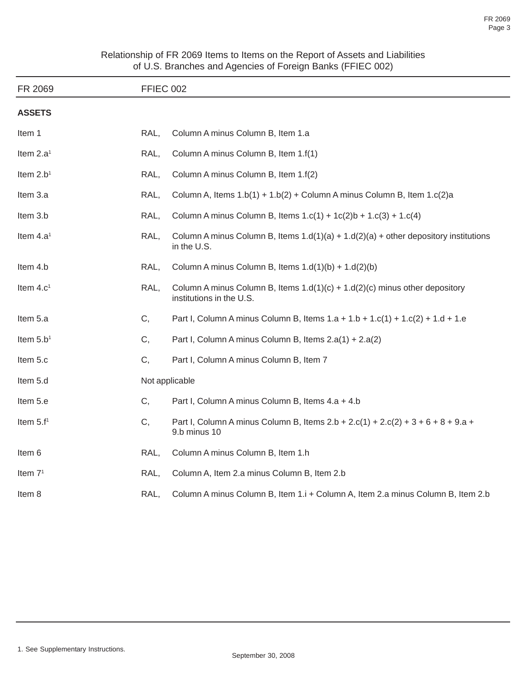| Relationship of FR 2069 Items to Items on the Report of Assets and Liabilities |                                                            |  |  |  |
|--------------------------------------------------------------------------------|------------------------------------------------------------|--|--|--|
|                                                                                | of U.S. Branches and Agencies of Foreign Banks (FFIEC 002) |  |  |  |

| FR 2069               | <b>FFIEC 002</b> |                                                                                                           |  |  |
|-----------------------|------------------|-----------------------------------------------------------------------------------------------------------|--|--|
| <b>ASSETS</b>         |                  |                                                                                                           |  |  |
| Item 1                | RAL.             | Column A minus Column B, Item 1.a                                                                         |  |  |
| Item 2.a <sup>1</sup> | RAL,             | Column A minus Column B, Item 1.f(1)                                                                      |  |  |
| Item $2.b1$           | RAL,             | Column A minus Column B, Item 1.f(2)                                                                      |  |  |
| Item 3.a              | RAL,             | Column A, Items $1.b(1) + 1.b(2) + Column A$ minus Column B, Item $1.c(2)a$                               |  |  |
| Item 3.b              | RAL,             | Column A minus Column B, Items $1.c(1) + 1c(2)b + 1.c(3) + 1.c(4)$                                        |  |  |
| Item 4.a <sup>1</sup> | RAL,             | Column A minus Column B, Items $1.d(1)(a) + 1.d(2)(a) + other depository institutions$<br>in the U.S.     |  |  |
| Item 4.b              | RAL,             | Column A minus Column B, Items $1.d(1)(b) + 1.d(2)(b)$                                                    |  |  |
| Item 4.c <sup>1</sup> | RAL,             | Column A minus Column B, Items $1.d(1)(c) + 1.d(2)(c)$ minus other depository<br>institutions in the U.S. |  |  |
| Item 5.a              | C,               | Part I, Column A minus Column B, Items $1.a + 1.b + 1.c(1) + 1.c(2) + 1.d + 1.e$                          |  |  |
| Item $5.b1$           | C,               | Part I, Column A minus Column B, Items 2.a(1) + 2.a(2)                                                    |  |  |
| Item 5.c              | C,               | Part I, Column A minus Column B, Item 7                                                                   |  |  |
| Item 5.d              |                  | Not applicable                                                                                            |  |  |
| Item 5.e              | C,               | Part I, Column A minus Column B, Items 4.a + 4.b                                                          |  |  |
| Item $5.f1$           | С,               | Part I, Column A minus Column B, Items $2.b + 2.c(1) + 2.c(2) + 3 + 6 + 8 + 9.a +$<br>9.b minus 10        |  |  |
| Item 6                | RAL,             | Column A minus Column B, Item 1.h                                                                         |  |  |
| Item $71$             | RAL,             | Column A, Item 2.a minus Column B, Item 2.b                                                               |  |  |
| Item 8                | RAL,             | Column A minus Column B, Item 1.i + Column A, Item 2.a minus Column B, Item 2.b                           |  |  |